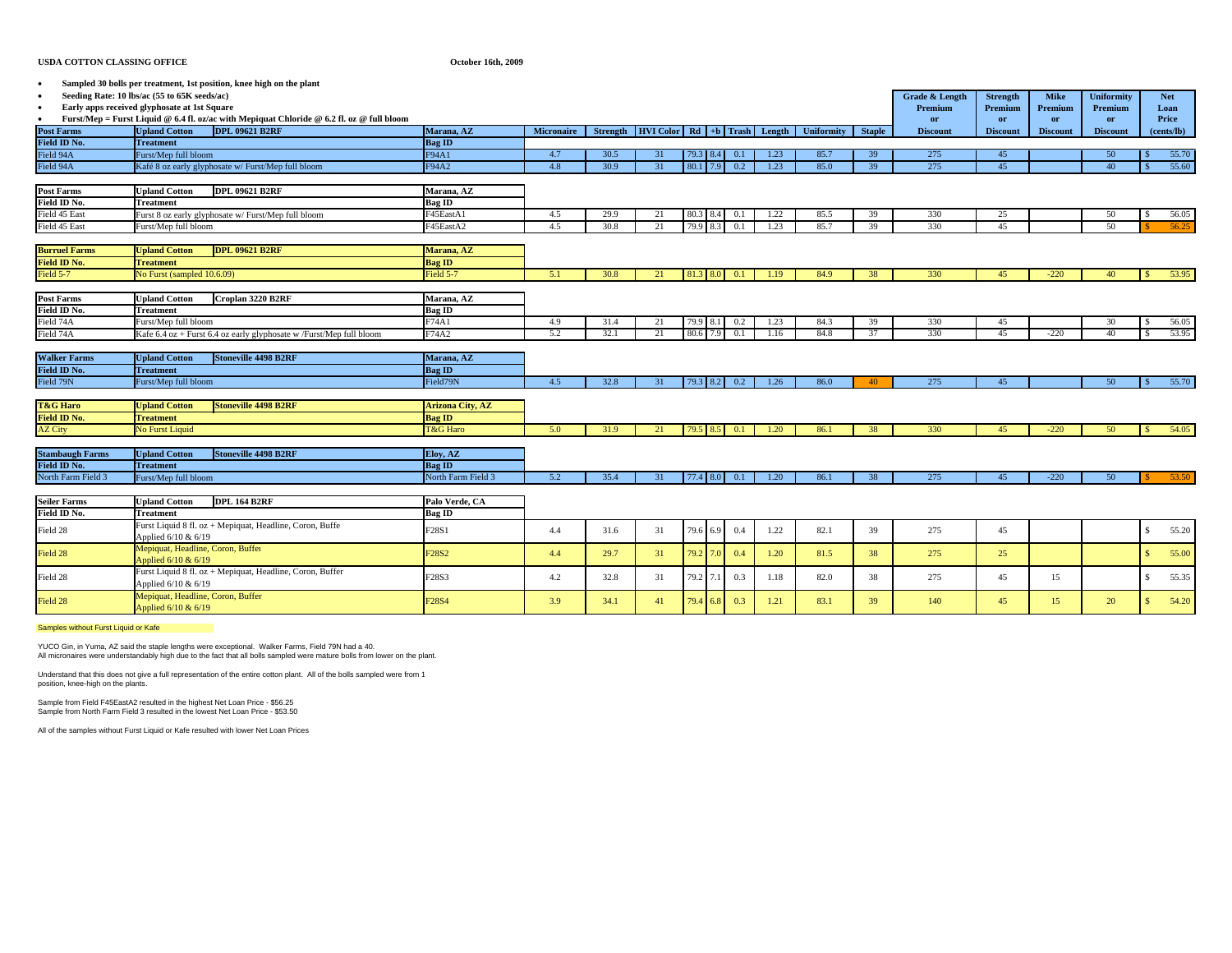## **USDA COTTON CLASSING OFFICE**

## **October 16th, 2009**

|                        | Sampled 30 bolls per treatment, 1st position, knee high on the plant                      |                                |                   |          |                              |                       |            |      |                   |               |                 |                 |                 |                   |                        |
|------------------------|-------------------------------------------------------------------------------------------|--------------------------------|-------------------|----------|------------------------------|-----------------------|------------|------|-------------------|---------------|-----------------|-----------------|-----------------|-------------------|------------------------|
|                        | Seeding Rate: 10 lbs/ac (55 to 65K seeds/ac)                                              |                                |                   |          |                              |                       |            |      |                   |               | Grade & Length  | <b>Strength</b> | <b>Mike</b>     | <b>Uniformity</b> | <b>Net</b>             |
| $\bullet$              | Early apps received glyphosate at 1st Square                                              |                                |                   |          |                              |                       |            |      |                   |               | Premium         | Premium         | Premium         | Premium           | Loan                   |
|                        | Furst/Mep = Furst Liquid @ 6.4 fl. oz/ac with Mepiquat Chloride @ 6.2 fl. oz @ full bloom |                                |                   |          |                              |                       |            |      |                   |               | or              | or              | or              | or                | Price                  |
| <b>Post Farms</b>      | <b>DPL 09621 B2RF</b><br><b>Upland Cotton</b>                                             | Marana, AZ                     | <b>Micronaire</b> | Strength | HVI Color Rd +b Trash Length |                       |            |      | <b>Uniformity</b> | <b>Staple</b> | <b>Discount</b> | <b>Discount</b> | <b>Discount</b> | <b>Discount</b>   | (cents/lb)             |
| Field ID No.           | <b>Treatment</b>                                                                          | <b>Bag ID</b>                  |                   |          |                              |                       |            |      |                   |               |                 |                 |                 |                   |                        |
| Field 94A              | Furst/Mep full bloom                                                                      | F94A1                          | 4.7               | 30.5     | 31                           | 79.3 8.4              | 0.1        | 1.23 | 85.7              | 39            | 275             | 45              |                 | 50                | 55.70                  |
| Field 94A              | Kafé 8 oz early glyphosate w/ Furst/Mep full bloom                                        | F94A2                          | 4.8               | 30.9     | 31                           | 80.1 7.9              | 0.2        | 1.23 | 85.0              | 39            | 275             | 45              |                 | 40                | 55.60                  |
|                        |                                                                                           |                                |                   |          |                              |                       |            |      |                   |               |                 |                 |                 |                   |                        |
| <b>Post Farms</b>      | <b>DPL 09621 B2RF</b><br><b>Upland Cotton</b>                                             | Marana, AZ                     |                   |          |                              |                       |            |      |                   |               |                 |                 |                 |                   |                        |
| Field ID No.           | Treatment                                                                                 | Bag ID                         |                   |          |                              |                       |            |      |                   |               |                 |                 |                 |                   |                        |
| Field 45 East          | Furst 8 oz early glyphosate w/ Furst/Mep full bloom                                       | F45EastA1                      | 4.5               | 29.9     | 21                           | 80.3                  | 0.1        | 1.22 | 85.5              | 39            | 330             | 25              |                 | 50                | 56.05<br>-8            |
| Field 45 East          | Furst/Mep full bloom                                                                      | F45EastA2                      | 4.5               | 30.8     | 21                           | 79.9 8.3              | 0.1        | 1.23 | 85.7              | 39            | 330             | 45              |                 | 50                | 56.25                  |
|                        |                                                                                           |                                |                   |          |                              |                       |            |      |                   |               |                 |                 |                 |                   |                        |
| <b>Burruel Farms</b>   | <b>DPL 09621 B2RF</b><br><b>Upland Cotton</b>                                             | Marana, AZ                     |                   |          |                              |                       |            |      |                   |               |                 |                 |                 |                   |                        |
| Field ID No.           | <b>Treatment</b>                                                                          | <b>Bag ID</b>                  |                   |          |                              |                       |            |      |                   |               |                 |                 |                 |                   |                        |
| Field 5-7              | No Furst (sampled 10.6.09)                                                                | Field 5-7                      | 5.1               | 30.8     | 21                           | 81.3 8.0              | 0.1        | 1.19 | 84.9              | 38            | 330             | 45              | $-220$          | 40                | 53.95<br>S             |
|                        |                                                                                           |                                |                   |          |                              |                       |            |      |                   |               |                 |                 |                 |                   |                        |
| <b>Post Farms</b>      | Croplan 3220 B2RF<br><b>Joland Cotton</b>                                                 | Marana, AZ                     |                   |          |                              |                       |            |      |                   |               |                 |                 |                 |                   |                        |
| Field ID No.           | <b>Treatment</b>                                                                          | Bag ID                         |                   |          |                              |                       |            |      |                   |               |                 |                 |                 |                   |                        |
| Field 74A              | Furst/Mep full bloom                                                                      | F74A1                          | 4.9               | 31.4     | 21                           | 79.9 8.1              | 0.2        | 1.23 | 84.3              | 39            | 330             | 45              |                 | 30                | 56.05                  |
| Field 74A              | Kafe 6.4 oz + Furst 6.4 oz early glyphosate w /Furst/Mep full bloom                       | F74A2                          | 5.2               | 32.1     | 21                           | 80.6 7.9              | 0.1        | 1.16 | 84.8              | 37            | 330             | 45              | $-220$          | 40                | 53.95                  |
|                        |                                                                                           |                                |                   |          |                              |                       |            |      |                   |               |                 |                 |                 |                   |                        |
| <b>Walker Farms</b>    | <b>Stoneville 4498 B2RF</b><br><b>Upland Cotton</b>                                       | Marana, AZ                     |                   |          |                              |                       |            |      |                   |               |                 |                 |                 |                   |                        |
| Field ID No.           | <b>Treatment</b>                                                                          | <b>Bag ID</b>                  |                   |          |                              |                       |            |      |                   |               |                 |                 |                 |                   |                        |
| Field 79N              | Furst/Mep full bloom                                                                      | Field79N                       | 4.5               | 32.8     | 31                           | 79.3 8.2              | 0.2        | 1.26 | 86.0              | 40            | 275             | 45              |                 | 50                | 55.70<br>-8            |
|                        |                                                                                           |                                |                   |          |                              |                       |            |      |                   |               |                 |                 |                 |                   |                        |
| <b>T&amp;G Haro</b>    | <b>Stoneville 4498 B2RF</b><br><b>Upland Cotton</b>                                       | <b>Arizona City, AZ</b>        |                   |          |                              |                       |            |      |                   |               |                 |                 |                 |                   |                        |
| Field ID No.           | <b>Treatment</b>                                                                          | Bag ID                         |                   |          |                              |                       |            |      |                   |               |                 |                 |                 |                   |                        |
| <b>AZ City</b>         | <b>No Furst Liquid</b>                                                                    | <b>T&amp;G Haro</b>            | 5.0               | 31.9     | 21                           | 79.5 8.5              | 0.1        | 1.20 | 86.1              | 38            | 330             | 45              | $-220$          | 50                | 54.05<br>-S            |
|                        |                                                                                           |                                |                   |          |                              |                       |            |      |                   |               |                 |                 |                 |                   |                        |
| <b>Stambaugh Farms</b> | <b>Upland Cotton</b><br><b>Stoneville 4498 B2RF</b>                                       | Eloy, AZ                       |                   |          |                              |                       |            |      |                   |               |                 |                 |                 |                   |                        |
| Field ID No.           | <b>Treatment</b>                                                                          | Bag ID                         |                   |          |                              |                       |            |      |                   |               |                 |                 |                 |                   |                        |
| North Farm Field 3     | Furst/Mep full bloom                                                                      | North Farm Field 3             | 5.2               | 35.4     | 31                           | 77.4 8.0              | 0.1        | 1.20 | 86.1              | 38            | 275             | 45              | $-220$          | 50                | 53.50                  |
|                        |                                                                                           |                                |                   |          |                              |                       |            |      |                   |               |                 |                 |                 |                   |                        |
| <b>Seiler Farms</b>    | <b>DPL 164 B2RF</b><br><b>Upland Cotton</b>                                               | Palo Verde, CA                 |                   |          |                              |                       |            |      |                   |               |                 |                 |                 |                   |                        |
| Field ID No.           | Treatment                                                                                 | <b>Bag ID</b>                  |                   |          |                              |                       |            |      |                   |               |                 |                 |                 |                   |                        |
|                        | Furst Liquid 8 fl. oz + Mepiquat, Headline, Coron, Buffe                                  |                                |                   |          |                              |                       |            |      |                   |               |                 |                 |                 |                   |                        |
| Field 28               | Applied 6/10 & 6/19                                                                       | F28S1                          | 4.4               | 31.6     | 31                           | 79.6 6.9              | 0.4        | 1.22 | 82.1              | 39            | 275             | 45              |                 |                   | 55.20<br>\$            |
| Field 28               | Mepiquat, Headline, Coron, Buffer                                                         | F <sub>28</sub> S <sub>2</sub> |                   |          |                              | 79.2 7.0              | 0.4        |      |                   |               |                 | 25              |                 |                   | 55.00<br>$\mathcal{S}$ |
|                        | Applied 6/10 & 6/19                                                                       |                                | 4.4               | 29.7     | 31                           |                       |            | 1.20 | 81.5              | 38            | 275             |                 |                 |                   |                        |
| Field 28               | Furst Liquid 8 fl. oz + Mepiquat, Headline, Coron, Buffer                                 | F28S3                          | 4.2               | 32.8     | 31                           | $79.2 \overline{7.1}$ | 0.3        | 1.18 | 82.0              | 38            | 275             | 45              | 15              |                   | 55.35<br>\$.           |
|                        | Applied 6/10 & 6/19                                                                       |                                |                   |          |                              |                       |            |      |                   |               |                 |                 |                 |                   |                        |
| Field 28               | Mepiquat, Headline, Coron, Buffer                                                         | F <sub>28</sub> S <sub>4</sub> | 3.9               | 34.1     | 41                           | 79.4                  | 0.3<br>6.8 | 1.21 | 83.1              | 39            | 140             | 45              | 15              | 20                | 54.20                  |
|                        | Applied 6/10 & 6/19                                                                       |                                |                   |          |                              |                       |            |      |                   |               |                 |                 |                 |                   |                        |

Samples without Furst Liquid or Kafe

YUCO Gin, in Yuma, AZ said the staple lengths were exceptional. Walker Farms, Field 79N had a 40. All micronaires were understandably high due to the fact that all bolls sampled were mature bolls from lower on the plant.

Understand that this does not give a full representation of the entire cotton plant. All of the bolls sampled were from 1 position, knee-high on the plants.

Sample from Field F45EastA2 resulted in the highest Net Loan Price - \$56.25 Sample from North Farm Field 3 resulted in the lowest Net Loan Price - \$53.50

All of the samples without Furst Liquid or Kafe resulted with lower Net Loan Prices